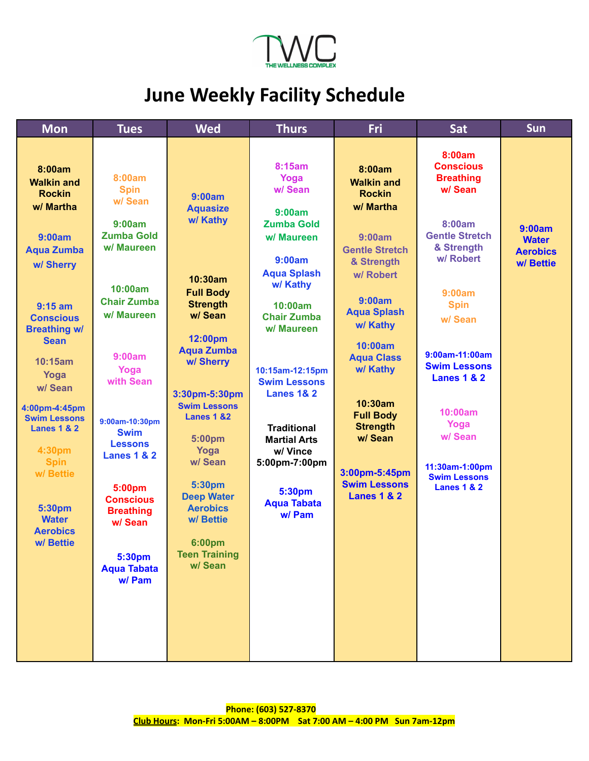

## **June Weekly Facility Schedule**

| <b>Mon</b>                                                                                                                | <b>Tues</b>                                                                                                                 | <b>Wed</b>                                                                                                                                   | <b>Thurs</b>                                                                                                                                           | Fri                                                                                                                         | Sat                                                                                                                     | Sun                                       |
|---------------------------------------------------------------------------------------------------------------------------|-----------------------------------------------------------------------------------------------------------------------------|----------------------------------------------------------------------------------------------------------------------------------------------|--------------------------------------------------------------------------------------------------------------------------------------------------------|-----------------------------------------------------------------------------------------------------------------------------|-------------------------------------------------------------------------------------------------------------------------|-------------------------------------------|
| 8:00am<br><b>Walkin and</b><br><b>Rockin</b><br>w/ Martha<br>9:00am<br><b>Aqua Zumba</b>                                  | 8:00am<br><b>Spin</b><br>w/ Sean<br>9:00am<br><b>Zumba Gold</b><br>w/ Maureen                                               | 9:00am<br><b>Aquasize</b><br>w/ Kathy                                                                                                        | 8:15am<br>Yoga<br>w/ Sean<br>9:00am<br><b>Zumba Gold</b><br>w/ Maureen<br>9:00am                                                                       | 8:00am<br><b>Walkin and</b><br><b>Rockin</b><br>w/ Martha<br>9:00am<br><b>Gentle Stretch</b><br>& Strength                  | 8:00am<br><b>Conscious</b><br><b>Breathing</b><br>w/ Sean<br>8:00am<br><b>Gentle Stretch</b><br>& Strength<br>w/ Robert | 9:00am<br><b>Water</b><br><b>Aerobics</b> |
| w/ Sherry<br>$9:15$ am<br><b>Conscious</b><br><b>Breathing w/</b><br><b>Sean</b><br>10:15am<br>Yoga                       | 10:00am<br><b>Chair Zumba</b><br>w/ Maureen<br>9:00am<br>Yoga<br>with Sean                                                  | 10:30am<br><b>Full Body</b><br><b>Strength</b><br>w/ Sean<br>12:00pm<br><b>Aqua Zumba</b><br>w/ Sherry                                       | <b>Aqua Splash</b><br>w/ Kathy<br>10:00am<br><b>Chair Zumba</b><br>w/ Maureen<br>10:15am-12:15pm                                                       | w/ Robert<br>9:00am<br><b>Aqua Splash</b><br>w/ Kathy<br>10:00am<br><b>Aqua Class</b><br>w/ Kathy                           | 9:00am<br><b>Spin</b><br>w/ Sean<br>9:00am-11:00am<br><b>Swim Lessons</b><br><b>Lanes 1 &amp; 2</b>                     | w/ Bettie                                 |
| w/ Sean<br>4:00pm-4:45pm<br><b>Swim Lessons</b><br><b>Lanes 1 &amp; 2</b><br>4:30pm<br><b>Spin</b><br>w/ Bettie<br>5:30pm | 9:00am-10:30pm<br><b>Swim</b><br><b>Lessons</b><br><b>Lanes 1 &amp; 2</b><br>5:00pm<br><b>Conscious</b><br><b>Breathing</b> | 3:30pm-5:30pm<br><b>Swim Lessons</b><br><b>Lanes 1 &amp;2</b><br>5:00pm<br>Yoga<br>w/ Sean<br>5:30pm<br><b>Deep Water</b><br><b>Aerobics</b> | <b>Swim Lessons</b><br><b>Lanes 1&amp; 2</b><br><b>Traditional</b><br><b>Martial Arts</b><br>w/ Vince<br>5:00pm-7:00pm<br>5:30pm<br><b>Aqua Tabata</b> | 10:30am<br><b>Full Body</b><br><b>Strength</b><br>w/ Sean<br>3:00pm-5:45pm<br><b>Swim Lessons</b><br><b>Lanes 1 &amp; 2</b> | 10:00am<br>Yoga<br>w/ Sean<br>11:30am-1:00pm<br><b>Swim Lessons</b><br><b>Lanes 1 &amp; 2</b>                           |                                           |
| <b>Water</b><br><b>Aerobics</b><br>w/Bettie                                                                               | w/ Sean<br>5:30pm<br><b>Aqua Tabata</b><br>w/ Pam                                                                           | w/ Bettie<br>6:00pm<br><b>Teen Training</b><br>w/Sean                                                                                        | w/ Pam                                                                                                                                                 |                                                                                                                             |                                                                                                                         |                                           |